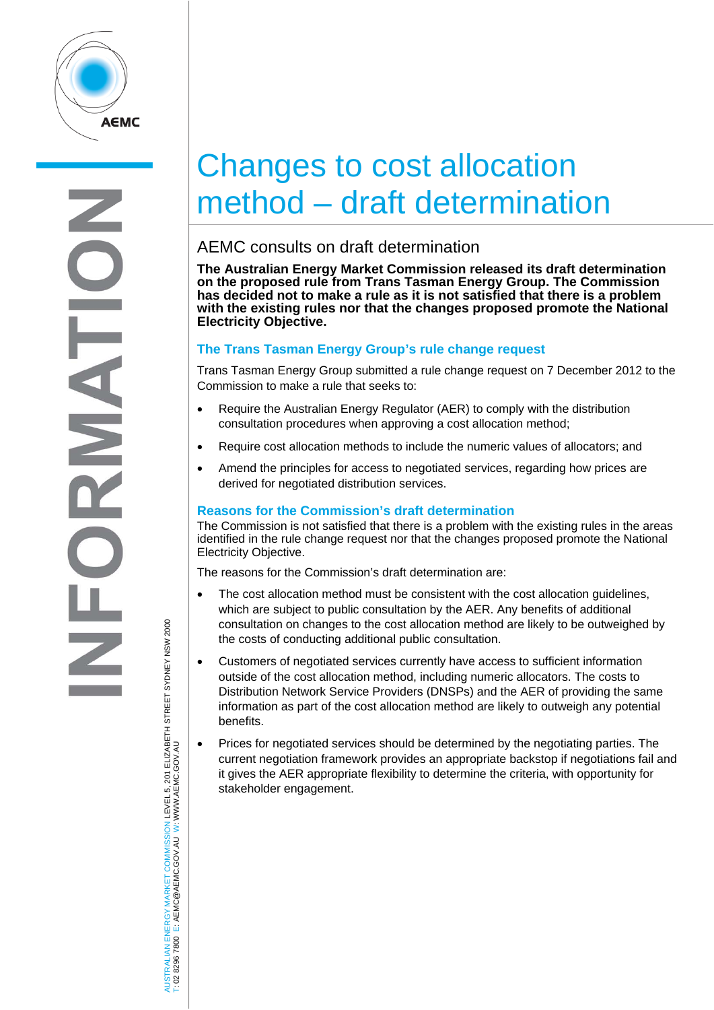

# Changes to cost allocation method – draft determination

# AEMC consults on draft determination

**The Australian Energy Market Commission released its draft determination on the proposed rule from Trans Tasman Energy Group. The Commission has decided not to make a rule as it is not satisfied that there is a problem with the existing rules nor that the changes proposed promote the National Electricity Objective.** 

## **The Trans Tasman Energy Group's rule change request**

Trans Tasman Energy Group submitted a rule change request on 7 December 2012 to the Commission to make a rule that seeks to:

- Require the Australian Energy Regulator (AER) to comply with the distribution consultation procedures when approving a cost allocation method;
- Require cost allocation methods to include the numeric values of allocators; and
- Amend the principles for access to negotiated services, regarding how prices are derived for negotiated distribution services.

### **Reasons for the Commission's draft determination**

The Commission is not satisfied that there is a problem with the existing rules in the areas identified in the rule change request nor that the changes proposed promote the National Electricity Objective.

The reasons for the Commission's draft determination are:

- The cost allocation method must be consistent with the cost allocation guidelines, which are subject to public consultation by the AER. Any benefits of additional consultation on changes to the cost allocation method are likely to be outweighed by the costs of conducting additional public consultation.
- Customers of negotiated services currently have access to sufficient information outside of the cost allocation method, including numeric allocators. The costs to Distribution Network Service Providers (DNSPs) and the AER of providing the same information as part of the cost allocation method are likely to outweigh any potential benefits.
- Prices for negotiated services should be determined by the negotiating parties. The current negotiation framework provides an appropriate backstop if negotiations fail and it gives the AER appropriate flexibility to determine the criteria, with opportunity for stakeholder engagement.

JSTRALIAN ENERGY MARKET COMMISSION LEVEL 5, 201 ELIZABETH STREET SYDNEY NSW 2000<br>02 8296 7800 E: AEMC@AEMC.GOV.AU W: WWW.AEMC.GOV.AU AUSTRALIAN ENERGY MARKET COMMISSION LEVEL 5, 201 ELIZABETH STREET SYDNEY NSW 2000 W: WWW.AEMC.GOV.AU T: 02 8296 7800 E: AEMC@AEMC.GOV.AU